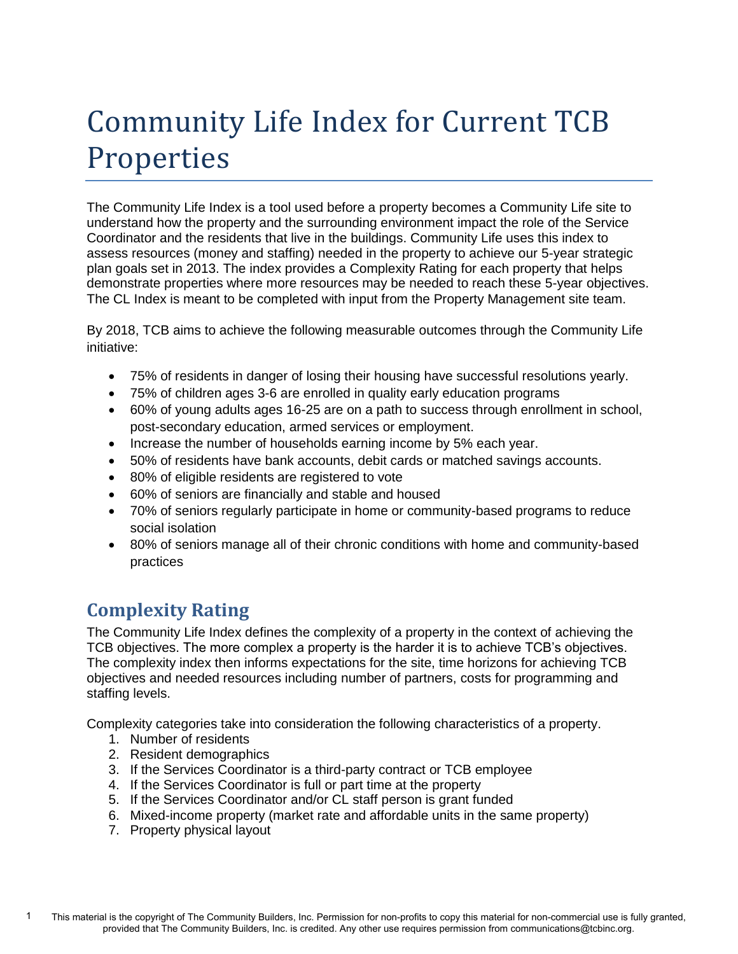# Community Life Index for Current TCB Properties

The Community Life Index is a tool used before a property becomes a Community Life site to understand how the property and the surrounding environment impact the role of the Service Coordinator and the residents that live in the buildings. Community Life uses this index to assess resources (money and staffing) needed in the property to achieve our 5-year strategic plan goals set in 2013. The index provides a Complexity Rating for each property that helps demonstrate properties where more resources may be needed to reach these 5-year objectives. The CL Index is meant to be completed with input from the Property Management site team.

By 2018, TCB aims to achieve the following measurable outcomes through the Community Life initiative:

- 75% of residents in danger of losing their housing have successful resolutions yearly.
- 75% of children ages 3-6 are enrolled in quality early education programs
- 60% of young adults ages 16-25 are on a path to success through enrollment in school, post-secondary education, armed services or employment.
- Increase the number of households earning income by 5% each year.
- 50% of residents have bank accounts, debit cards or matched savings accounts.
- 80% of eligible residents are registered to vote
- 60% of seniors are financially and stable and housed
- 70% of seniors regularly participate in home or community-based programs to reduce social isolation
- 80% of seniors manage all of their chronic conditions with home and community-based practices

# **Complexity Rating**

The Community Life Index defines the complexity of a property in the context of achieving the TCB objectives. The more complex a property is the harder it is to achieve TCB's objectives. The complexity index then informs expectations for the site, time horizons for achieving TCB objectives and needed resources including number of partners, costs for programming and staffing levels.

Complexity categories take into consideration the following characteristics of a property.

- 1. Number of residents
- 2. Resident demographics
- 3. If the Services Coordinator is a third-party contract or TCB employee
- 4. If the Services Coordinator is full or part time at the property
- 5. If the Services Coordinator and/or CL staff person is grant funded
- 6. Mixed-income property (market rate and affordable units in the same property)
- 7. Property physical layout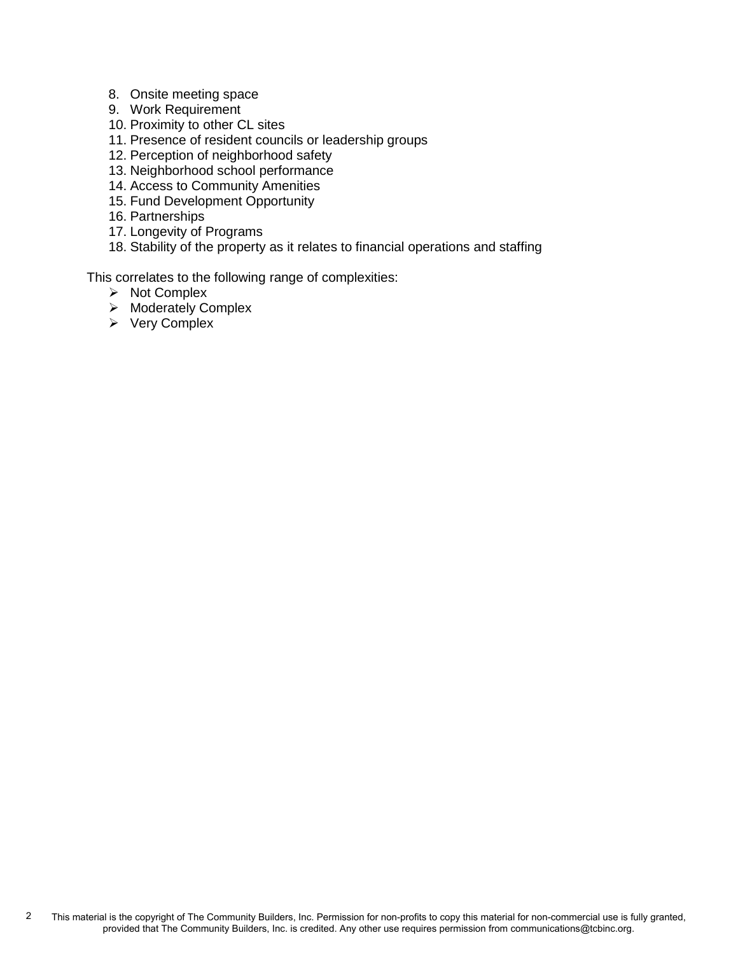- 8. Onsite meeting space
- 9. Work Requirement
- 10. Proximity to other CL sites
- 11. Presence of resident councils or leadership groups
- 12. Perception of neighborhood safety
- 13. Neighborhood school performance
- 14. Access to Community Amenities
- 15. Fund Development Opportunity
- 16. Partnerships
- 17. Longevity of Programs
- 18. Stability of the property as it relates to financial operations and staffing

This correlates to the following range of complexities:

- ➢ Not Complex
- ➢ Moderately Complex
- ➢ Very Complex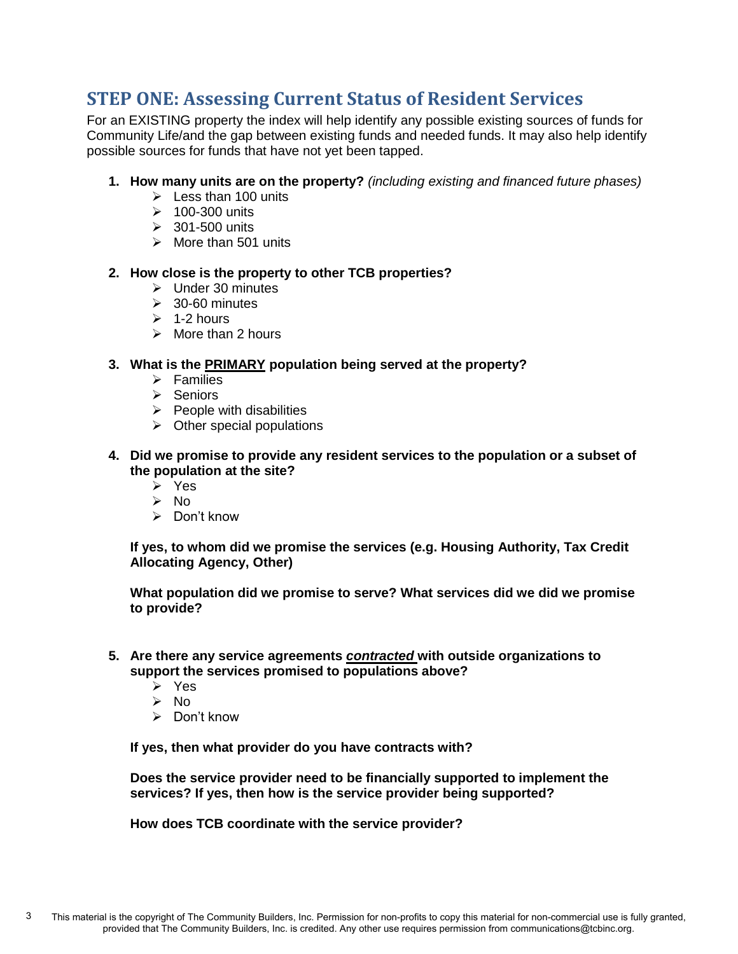# **STEP ONE: Assessing Current Status of Resident Services**

For an EXISTING property the index will help identify any possible existing sources of funds for Community Life/and the gap between existing funds and needed funds. It may also help identify possible sources for funds that have not yet been tapped.

- **1. How many units are on the property?** *(including existing and financed future phases)*
	- $\triangleright$  Less than 100 units
	- $\geq 100-300$  units
	- $\geq$  301-500 units
	- ➢ More than 501 units

#### **2. How close is the property to other TCB properties?**

- ➢ Under 30 minutes
- $\geq$  30-60 minutes
- $\geq 1$ -2 hours
- $\triangleright$  More than 2 hours

# **3. What is the PRIMARY population being served at the property?**

- ➢ Families
- ➢ Seniors
- $\triangleright$  People with disabilities
- $\triangleright$  Other special populations
- **4. Did we promise to provide any resident services to the population or a subset of the population at the site?**
	- ➢ Yes
	- ➢ No
	- ➢ Don't know

**If yes, to whom did we promise the services (e.g. Housing Authority, Tax Credit Allocating Agency, Other)** 

**What population did we promise to serve? What services did we did we promise to provide?**

- **5. Are there any service agreements** *contracted* **with outside organizations to support the services promised to populations above?**
	- ➢ Yes
	- ➢ No
	- ➢ Don't know

**If yes, then what provider do you have contracts with?** 

**Does the service provider need to be financially supported to implement the services? If yes, then how is the service provider being supported?** 

**How does TCB coordinate with the service provider?**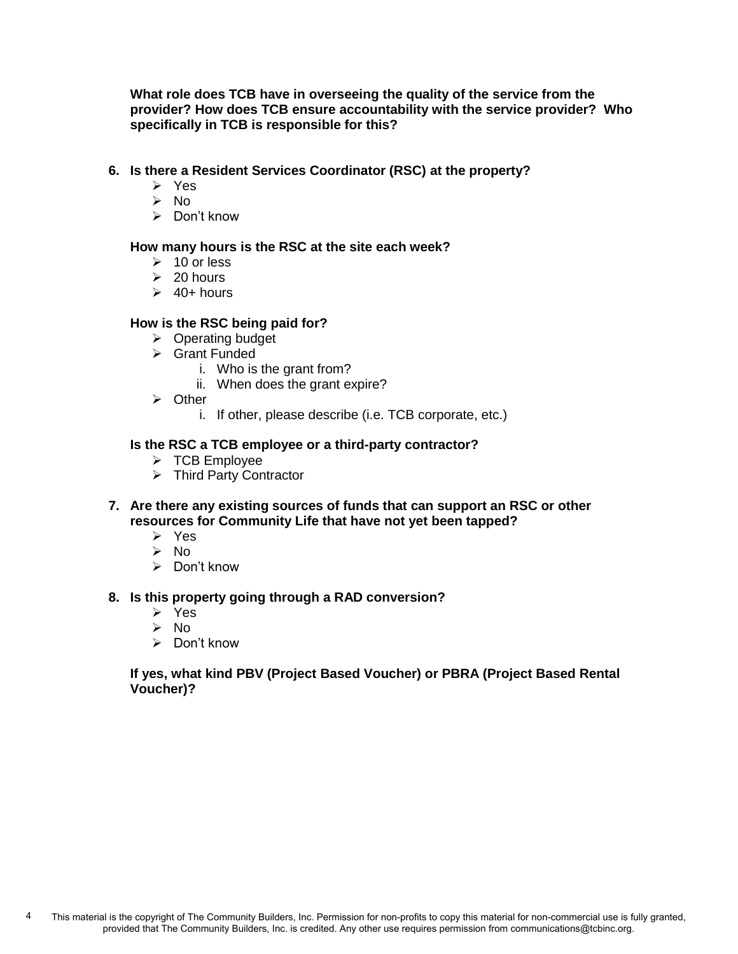**What role does TCB have in overseeing the quality of the service from the provider? How does TCB ensure accountability with the service provider? Who specifically in TCB is responsible for this?** 

#### **6. Is there a Resident Services Coordinator (RSC) at the property?**

- ➢ Yes
- ➢ No
- ➢ Don't know

#### **How many hours is the RSC at the site each week?**

- $\geq 10$  or less
- $\geq 20$  hours
- $\geq$  40+ hours

#### **How is the RSC being paid for?**

- ➢ Operating budget
- ➢ Grant Funded
	- i. Who is the grant from?
	- ii. When does the grant expire?
- ➢ Other
	- i. If other, please describe (i.e. TCB corporate, etc.)

#### **Is the RSC a TCB employee or a third-party contractor?**

- ➢ TCB Employee
- ➢ Third Party Contractor
- **7. Are there any existing sources of funds that can support an RSC or other resources for Community Life that have not yet been tapped?**
	- ➢ Yes
	- ➢ No
	- ➢ Don't know

#### **8. Is this property going through a RAD conversion?**

- ➢ Yes
- ➢ No
- ➢ Don't know

#### **If yes, what kind PBV (Project Based Voucher) or PBRA (Project Based Rental Voucher)?**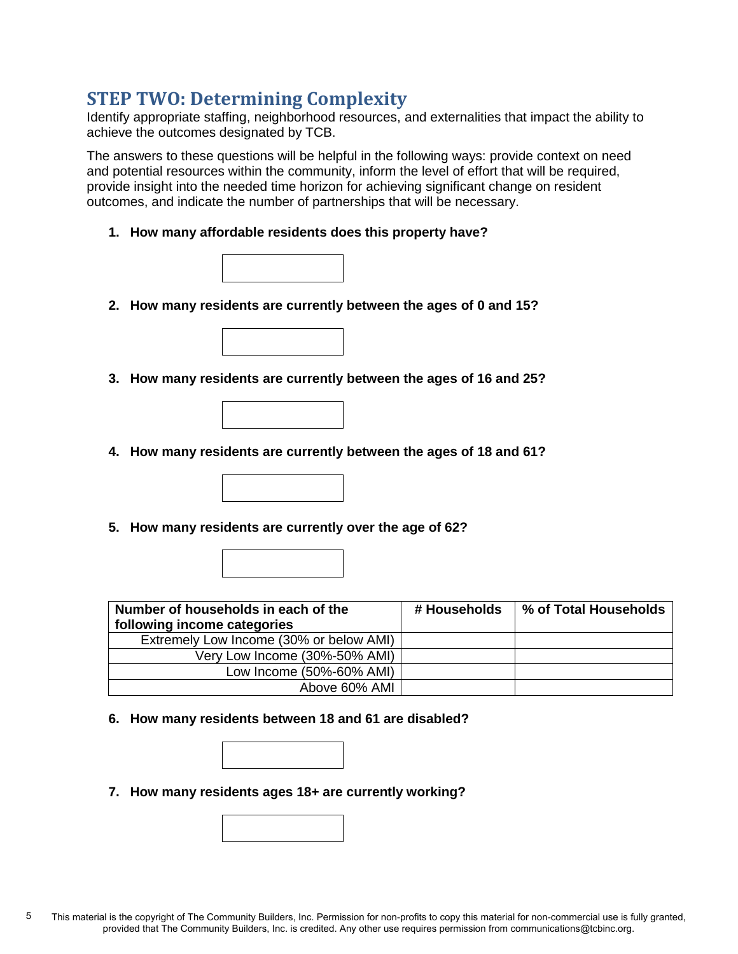# **STEP TWO: Determining Complexity**

Identify appropriate staffing, neighborhood resources, and externalities that impact the ability to achieve the outcomes designated by TCB.

The answers to these questions will be helpful in the following ways: provide context on need and potential resources within the community, inform the level of effort that will be required, provide insight into the needed time horizon for achieving significant change on resident outcomes, and indicate the number of partnerships that will be necessary.

**1. How many affordable residents does this property have?**



**2. How many residents are currently between the ages of 0 and 15?**



**3. How many residents are currently between the ages of 16 and 25?**



- **4. How many residents are currently between the ages of 18 and 61?**
- **5. How many residents are currently over the age of 62?**

| Number of households in each of the<br>following income categories | # Households | % of Total Households |
|--------------------------------------------------------------------|--------------|-----------------------|
| Extremely Low Income (30% or below AMI)                            |              |                       |
| Very Low Income (30%-50% AMI)                                      |              |                       |
| Low Income (50%-60% AMI)                                           |              |                       |
| Above 60% AMI                                                      |              |                       |

**6. How many residents between 18 and 61 are disabled?**

**7. How many residents ages 18+ are currently working?**

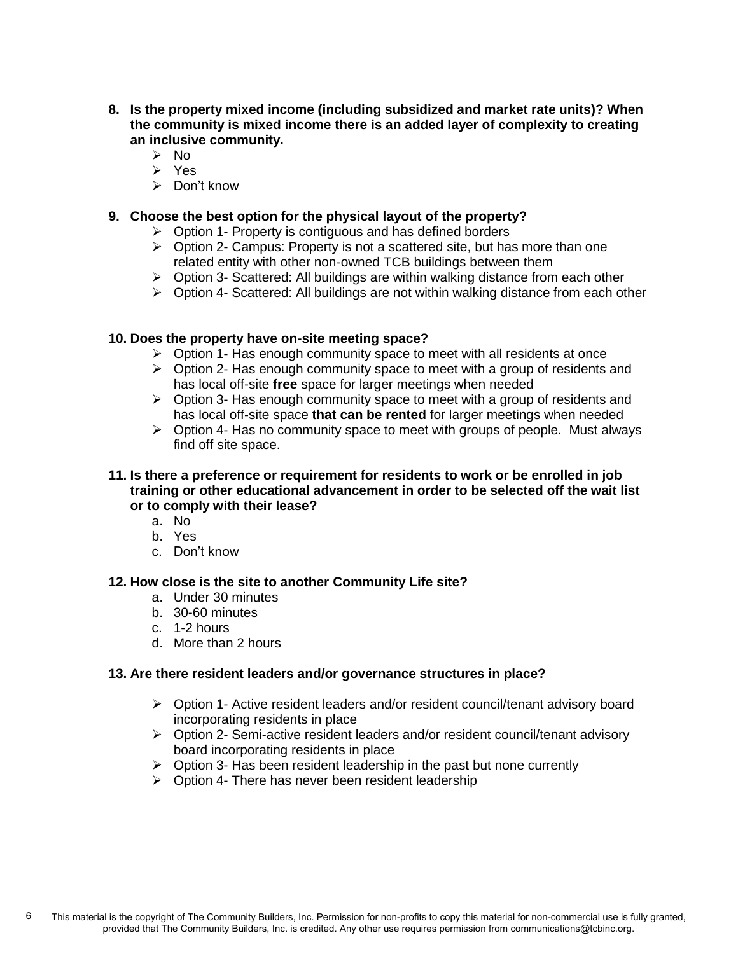- **8. Is the property mixed income (including subsidized and market rate units)? When the community is mixed income there is an added layer of complexity to creating an inclusive community.**
	- ➢ No
	- ➢ Yes
	- ➢ Don't know

# **9. Choose the best option for the physical layout of the property?**

- ➢ Option 1- Property is contiguous and has defined borders
- ➢ Option 2- Campus: Property is not a scattered site, but has more than one related entity with other non-owned TCB buildings between them
- ➢ Option 3- Scattered: All buildings are within walking distance from each other
- $\triangleright$  Option 4- Scattered: All buildings are not within walking distance from each other

# **10. Does the property have on-site meeting space?**

- $\triangleright$  Option 1- Has enough community space to meet with all residents at once
- $\triangleright$  Option 2- Has enough community space to meet with a group of residents and has local off-site **free** space for larger meetings when needed
- $\triangleright$  Option 3- Has enough community space to meet with a group of residents and has local off-site space **that can be rented** for larger meetings when needed
- $\triangleright$  Option 4- Has no community space to meet with groups of people. Must always find off site space.
- **11. Is there a preference or requirement for residents to work or be enrolled in job training or other educational advancement in order to be selected off the wait list or to comply with their lease?**
	- a. No
	- b. Yes
	- c. Don't know

#### **12. How close is the site to another Community Life site?**

- a. Under 30 minutes
- b. 30-60 minutes
- c. 1-2 hours
- d. More than 2 hours

#### **13. Are there resident leaders and/or governance structures in place?**

- ➢ Option 1- Active resident leaders and/or resident council/tenant advisory board incorporating residents in place
- ➢ Option 2- Semi-active resident leaders and/or resident council/tenant advisory board incorporating residents in place
- $\triangleright$  Option 3- Has been resident leadership in the past but none currently
- ➢ Option 4- There has never been resident leadership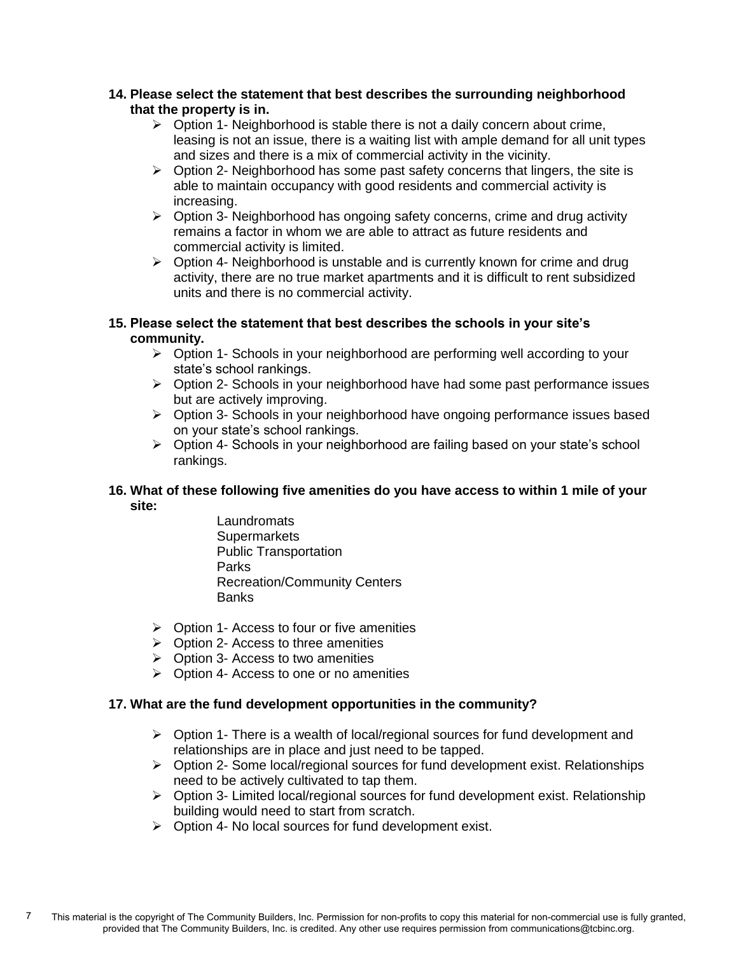#### **14. Please select the statement that best describes the surrounding neighborhood that the property is in.**

- $\triangleright$  Option 1- Neighborhood is stable there is not a daily concern about crime, leasing is not an issue, there is a waiting list with ample demand for all unit types and sizes and there is a mix of commercial activity in the vicinity.
- $\triangleright$  Option 2- Neighborhood has some past safety concerns that lingers, the site is able to maintain occupancy with good residents and commercial activity is increasing.
- ➢ Option 3- Neighborhood has ongoing safety concerns, crime and drug activity remains a factor in whom we are able to attract as future residents and commercial activity is limited.
- $\triangleright$  Option 4- Neighborhood is unstable and is currently known for crime and drug activity, there are no true market apartments and it is difficult to rent subsidized units and there is no commercial activity.

# **15. Please select the statement that best describes the schools in your site's community.**

- ➢ Option 1- Schools in your neighborhood are performing well according to your state's school rankings.
- $\triangleright$  Option 2- Schools in your neighborhood have had some past performance issues but are actively improving.
- ➢ Option 3- Schools in your neighborhood have ongoing performance issues based on your state's school rankings.
- ➢ Option 4- Schools in your neighborhood are failing based on your state's school rankings.

# **16. What of these following five amenities do you have access to within 1 mile of your site:**

- Laundromats **Supermarkets** Public Transportation Parks Recreation/Community Centers **Banks**
- $\triangleright$  Option 1- Access to four or five amenities
- $\triangleright$  Option 2- Access to three amenities
- $\triangleright$  Option 3- Access to two amenities
- $\triangleright$  Option 4- Access to one or no amenities

# **17. What are the fund development opportunities in the community?**

- $\triangleright$  Option 1- There is a wealth of local/regional sources for fund development and relationships are in place and just need to be tapped.
- ➢ Option 2- Some local/regional sources for fund development exist. Relationships need to be actively cultivated to tap them.
- ➢ Option 3- Limited local/regional sources for fund development exist. Relationship building would need to start from scratch.
- ➢ Option 4- No local sources for fund development exist.